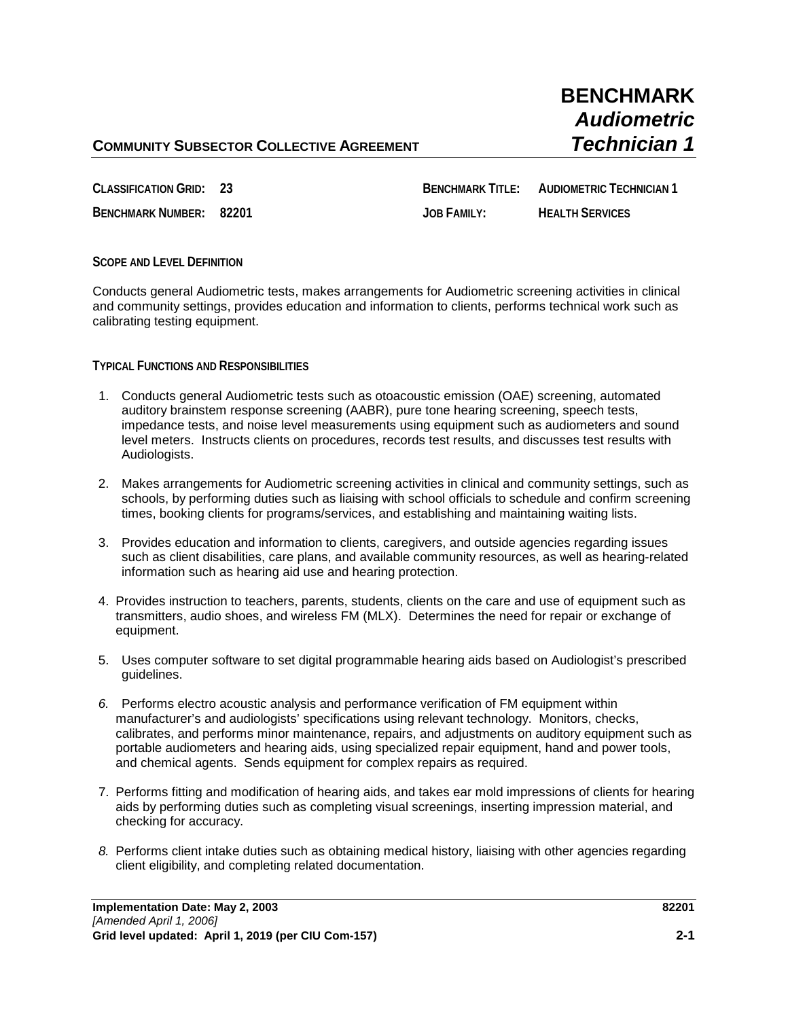## **COMMUNITY SUBSECTOR COLLECTIVE AGREEMENT** *Technician 1*

# **BENCHMARK** *Audiometric*

**CLASSIFICATION GRID: 23 BENCHMARK TITLE: AUDIOMETRIC TECHNICIAN 1 BENCHMARK NUMBER: 82201 JOB FAMILY: HEALTH SERVICES**

## **SCOPE AND LEVEL DEFINITION**

Conducts general Audiometric tests, makes arrangements for Audiometric screening activities in clinical and community settings, provides education and information to clients, performs technical work such as calibrating testing equipment.

**TYPICAL FUNCTIONS AND RESPONSIBILITIES**

- 1. Conducts general Audiometric tests such as otoacoustic emission (OAE) screening, automated auditory brainstem response screening (AABR), pure tone hearing screening, speech tests, impedance tests, and noise level measurements using equipment such as audiometers and sound level meters. Instructs clients on procedures, records test results, and discusses test results with Audiologists.
- 2. Makes arrangements for Audiometric screening activities in clinical and community settings, such as schools, by performing duties such as liaising with school officials to schedule and confirm screening times, booking clients for programs/services, and establishing and maintaining waiting lists.
- 3. Provides education and information to clients, caregivers, and outside agencies regarding issues such as client disabilities, care plans, and available community resources, as well as hearing-related information such as hearing aid use and hearing protection.
- 4. Provides instruction to teachers, parents, students, clients on the care and use of equipment such as transmitters, audio shoes, and wireless FM (MLX). Determines the need for repair or exchange of equipment.
- 5. Uses computer software to set digital programmable hearing aids based on Audiologist's prescribed guidelines.
- *6.* Performs electro acoustic analysis and performance verification of FM equipment within manufacturer's and audiologists' specifications using relevant technology.Monitors, checks, calibrates, and performs minor maintenance, repairs, and adjustments on auditory equipment such as portable audiometers and hearing aids, using specialized repair equipment, hand and power tools, and chemical agents. Sends equipment for complex repairs as required.
- 7. Performs fitting and modification of hearing aids, and takes ear mold impressions of clients for hearing aids by performing duties such as completing visual screenings, inserting impression material, and checking for accuracy.
- *8.* Performs client intake duties such as obtaining medical history, liaising with other agencies regarding client eligibility, and completing related documentation.